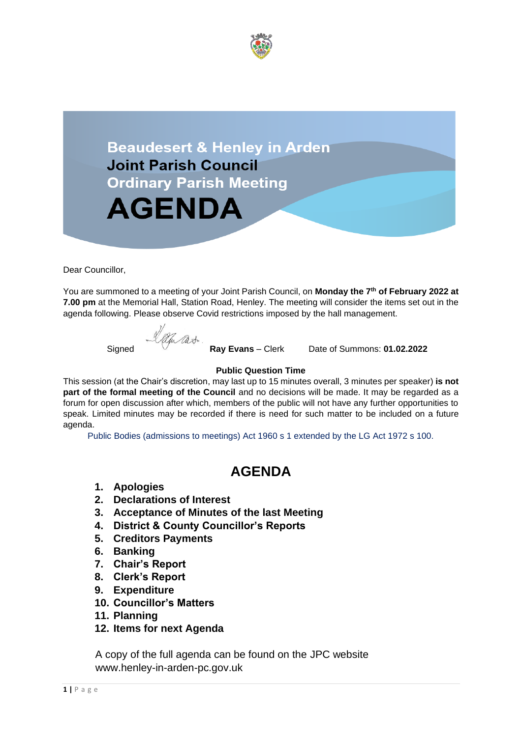



Dear Councillor,

You are summoned to a meeting of your Joint Parish Council, on **Monday the 7 th of February 2022 at 7.00 pm** at the Memorial Hall, Station Road, Henley. The meeting will consider the items set out in the agenda following. Please observe Covid restrictions imposed by the hall management.

Signed **Ray Evans** – Clerk Date of Summons: **01.02.2022**

#### **Public Question Time**

This session (at the Chair's discretion, may last up to 15 minutes overall, 3 minutes per speaker) **is not part of the formal meeting of the Council** and no decisions will be made. It may be regarded as a forum for open discussion after which, members of the public will not have any further opportunities to speak. Limited minutes may be recorded if there is need for such matter to be included on a future agenda.

Public Bodies (admissions to meetings) Act 1960 s 1 extended by the LG Act 1972 s 100.

## **AGENDA**

- **1. Apologies**
- **2. Declarations of Interest**
- **3. Acceptance of Minutes of the last Meeting**
- **4. District & County Councillor's Reports**
- **5. Creditors Payments**
- **6. Banking**
- **7. Chair's Report**
- **8. Clerk's Report**
- **9. Expenditure**
- **10. Councillor's Matters**
- **11. Planning**
- **12. Items for next Agenda**

A copy of the full agenda can be found on the JPC website www.henley-in-arden-pc.gov.uk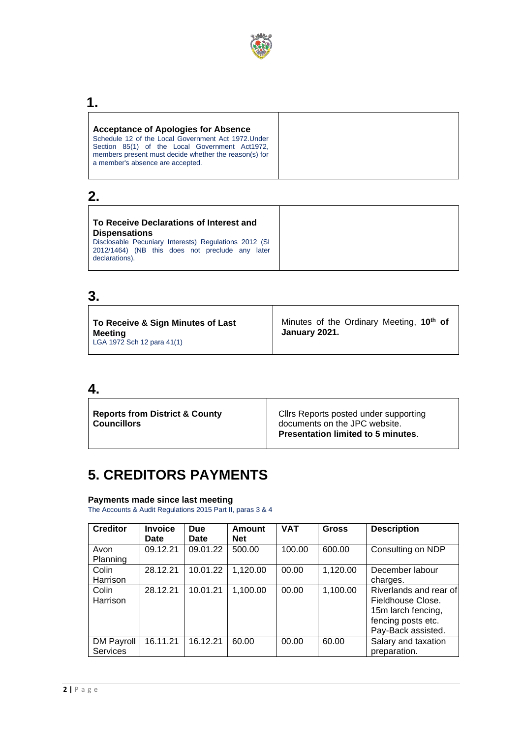

|--|

## **2.**

 **1.**

| Disclosable Pecuniary Interests) Regulations 2012 (SI<br>2012/1464) (NB this does not preclude any later |
|----------------------------------------------------------------------------------------------------------|
|----------------------------------------------------------------------------------------------------------|

## **3.**

## **4.**

| <b>Reports from District &amp; County</b><br><b>Councillors</b> | Clirs Reports posted under supporting<br>documents on the JPC website.<br><b>Presentation limited to 5 minutes.</b> |
|-----------------------------------------------------------------|---------------------------------------------------------------------------------------------------------------------|
|                                                                 |                                                                                                                     |

# **5. CREDITORS PAYMENTS**

#### **Payments made since last meeting**

The Accounts & Audit Regulations 2015 Part II, paras 3 & 4

| <b>Creditor</b>               | <b>Invoice</b><br>Date | <b>Due</b><br>Date | <b>Amount</b><br><b>Net</b> | <b>VAT</b> | <b>Gross</b> | <b>Description</b>                                                                                            |
|-------------------------------|------------------------|--------------------|-----------------------------|------------|--------------|---------------------------------------------------------------------------------------------------------------|
| Avon<br>Planning              | 09.12.21               | 09.01.22           | 500.00                      | 100.00     | 600.00       | Consulting on NDP                                                                                             |
| Colin<br>Harrison             | 28.12.21               | 10.01.22           | 1,120.00                    | 00.00      | 1,120.00     | December labour<br>charges.                                                                                   |
| Colin<br>Harrison             | 28.12.21               | 10.01.21           | 1,100.00                    | 00.00      | 1,100.00     | Riverlands and rear of<br>Fieldhouse Close.<br>15m larch fencing,<br>fencing posts etc.<br>Pay-Back assisted. |
| DM Payroll<br><b>Services</b> | 16.11.21               | 16.12.21           | 60.00                       | 00.00      | 60.00        | Salary and taxation<br>preparation.                                                                           |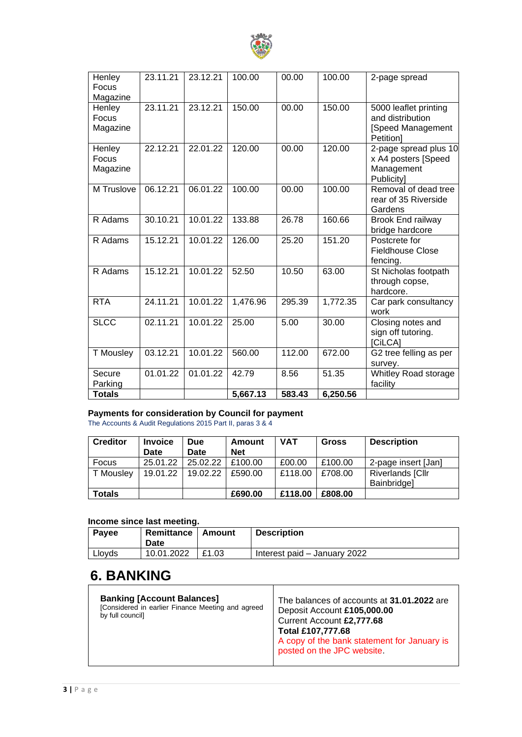

| Henley<br>Focus<br>Magazine | 23.11.21 | 23.12.21 | 100.00   | 00.00  | 100.00   | 2-page spread                                                                     |
|-----------------------------|----------|----------|----------|--------|----------|-----------------------------------------------------------------------------------|
| Henley<br>Focus<br>Magazine | 23.11.21 | 23.12.21 | 150.00   | 00.00  | 150.00   | 5000 leaflet printing<br>and distribution<br><b>Speed Management</b><br>Petition] |
| Henley<br>Focus<br>Magazine | 22.12.21 | 22.01.22 | 120.00   | 00.00  | 120.00   | 2-page spread plus 10<br>x A4 posters [Speed<br>Management<br><b>Publicity</b>    |
| M Truslove                  | 06.12.21 | 06.01.22 | 100.00   | 00.00  | 100.00   | Removal of dead tree<br>rear of 35 Riverside<br>Gardens                           |
| R Adams                     | 30.10.21 | 10.01.22 | 133.88   | 26.78  | 160.66   | <b>Brook End railway</b><br>bridge hardcore                                       |
| R Adams                     | 15.12.21 | 10.01.22 | 126.00   | 25.20  | 151.20   | Postcrete for<br><b>Fieldhouse Close</b><br>fencing.                              |
| R Adams                     | 15.12.21 | 10.01.22 | 52.50    | 10.50  | 63.00    | St Nicholas footpath<br>through copse,<br>hardcore.                               |
| <b>RTA</b>                  | 24.11.21 | 10.01.22 | 1,476.96 | 295.39 | 1,772.35 | Car park consultancy<br>work                                                      |
| <b>SLCC</b>                 | 02.11.21 | 10.01.22 | 25.00    | 5.00   | 30.00    | Closing notes and<br>sign off tutoring.<br>[CiLCA]                                |
| T Mousley                   | 03.12.21 | 10.01.22 | 560.00   | 112.00 | 672.00   | G2 tree felling as per<br>survey.                                                 |
| Secure<br>Parking           | 01.01.22 | 01.01.22 | 42.79    | 8.56   | 51.35    | Whitley Road storage<br>facility                                                  |
| <b>Totals</b>               |          |          | 5,667.13 | 583.43 | 6,250.56 |                                                                                   |

#### **Payments for consideration by Council for payment**

The Accounts & Audit Regulations 2015 Part II, paras 3 & 4

| <b>Creditor</b> | <b>Invoice</b> | <b>Due</b> | Amount     | <b>VAT</b> | <b>Gross</b> | <b>Description</b>      |
|-----------------|----------------|------------|------------|------------|--------------|-------------------------|
|                 | <b>Date</b>    | Date       | <b>Net</b> |            |              |                         |
| Focus           | 25.01.22       | 25.02.22   | £100.00    | £00.00     | £100.00      | 2-page insert [Jan]     |
| T Mousley       | 19.01.22       | 19.02.22   | £590.00    | £118.00    | £708.00      | <b>Riverlands [Cllr</b> |
|                 |                |            |            |            |              | Bainbridge]             |
| <b>Totals</b>   |                |            | £690.00    | £118.00    | £808.00      |                         |

#### **Income since last meeting.**

| Payee  | <b>Remittance   Amount</b><br>Date | <b>Description</b>           |
|--------|------------------------------------|------------------------------|
| Llovds | 10.01.2022                         | Interest paid – January 2022 |
|        |                                    |                              |

# **6. BANKING**

| <b>Banking [Account Balances]</b><br>[Considered in earlier Finance Meeting and agreed<br>by full council] | The balances of accounts at 31.01.2022 are<br>Deposit Account £105,000.00<br>Current Account £2,777.68<br>Total £107,777.68<br>A copy of the bank statement for January is<br>posted on the JPC website. |
|------------------------------------------------------------------------------------------------------------|----------------------------------------------------------------------------------------------------------------------------------------------------------------------------------------------------------|
|                                                                                                            |                                                                                                                                                                                                          |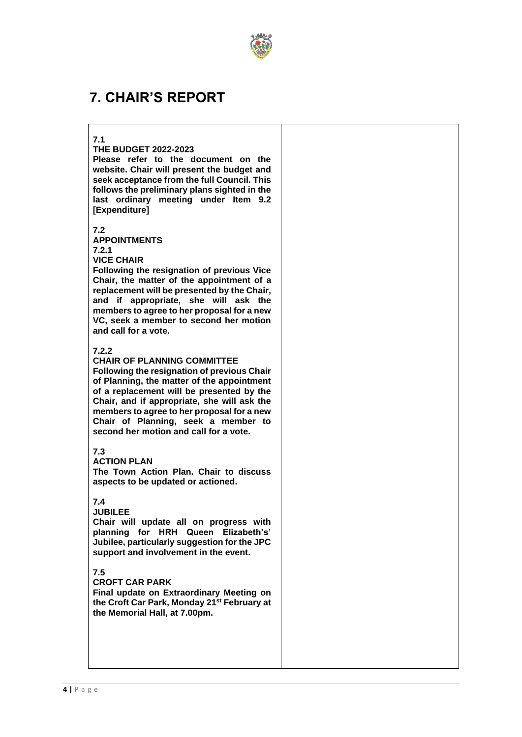

## **7. CHAIR'S REPORT**

### **7.1**

#### **THE BUDGET 2022-2023**

**Please refer to the document on the website. Chair will present the budget and seek acceptance from the full Council. This follows the preliminary plans sighted in the last ordinary meeting under Item 9.2 [Expenditure]**

#### **7.2**

**APPOINTMENTS 7.2.1 VICE CHAIR**

**Following the resignation of previous Vice Chair, the matter of the appointment of a replacement will be presented by the Chair, and if appropriate, she will ask the members to agree to her proposal for a new VC, seek a member to second her motion and call for a vote.**

#### **7.2.2**

#### **CHAIR OF PLANNING COMMITTEE**

**Following the resignation of previous Chair of Planning, the matter of the appointment of a replacement will be presented by the Chair, and if appropriate, she will ask the members to agree to her proposal for a new Chair of Planning, seek a member to second her motion and call for a vote.**

### **7.3**

#### **ACTION PLAN**

**The Town Action Plan. Chair to discuss aspects to be updated or actioned.**

### **7.4**

#### **JUBILEE**

**Chair will update all on progress with planning for HRH Queen Elizabeth's' Jubilee, particularly suggestion for the JPC support and involvement in the event.**

**7.5**

#### **CROFT CAR PARK**

**Final update on Extraordinary Meeting on the Croft Car Park, Monday 21st February at the Memorial Hall, at 7.00pm.**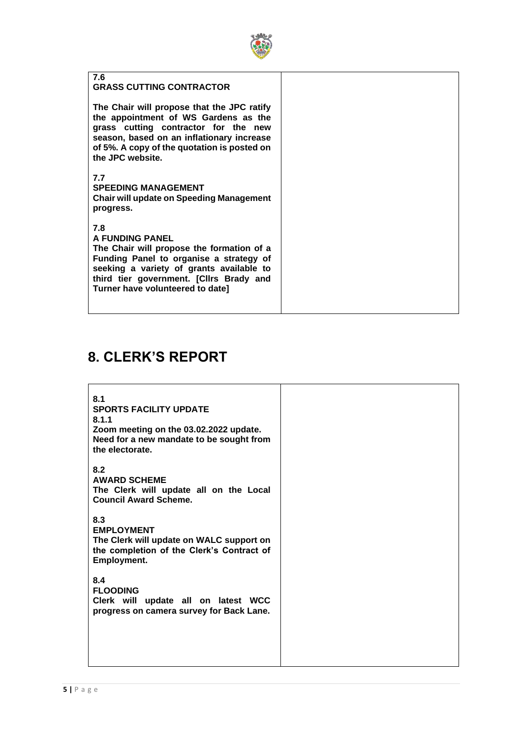

| 7.6<br><b>GRASS CUTTING CONTRACTOR</b>                                                                                                                                                                                                     |  |
|--------------------------------------------------------------------------------------------------------------------------------------------------------------------------------------------------------------------------------------------|--|
| The Chair will propose that the JPC ratify<br>the appointment of WS Gardens as the<br>grass cutting contractor for the new<br>season, based on an inflationary increase<br>of 5%. A copy of the quotation is posted on<br>the JPC website. |  |
| 7.7<br><b>SPEEDING MANAGEMENT</b><br><b>Chair will update on Speeding Management</b><br>progress.                                                                                                                                          |  |
| 7.8<br>A FUNDING PANEL<br>The Chair will propose the formation of a<br>Funding Panel to organise a strategy of<br>seeking a variety of grants available to<br>third tier government. [Cllrs Brady and<br>Turner have volunteered to date]  |  |

# **8. CLERK'S REPORT**

| 8.1<br><b>SPORTS FACILITY UPDATE</b><br>8.1.1<br>Zoom meeting on the 03.02.2022 update.<br>Need for a new mandate to be sought from<br>the electorate. |  |
|--------------------------------------------------------------------------------------------------------------------------------------------------------|--|
| 8.2<br><b>AWARD SCHEME</b><br>The Clerk will update all on the Local<br><b>Council Award Scheme.</b>                                                   |  |
| 8.3<br><b>EMPLOYMENT</b><br>The Clerk will update on WALC support on<br>the completion of the Clerk's Contract of<br>Employment.                       |  |
| 8.4<br><b>FLOODING</b><br>Clerk will update all on latest WCC<br>progress on camera survey for Back Lane.                                              |  |
|                                                                                                                                                        |  |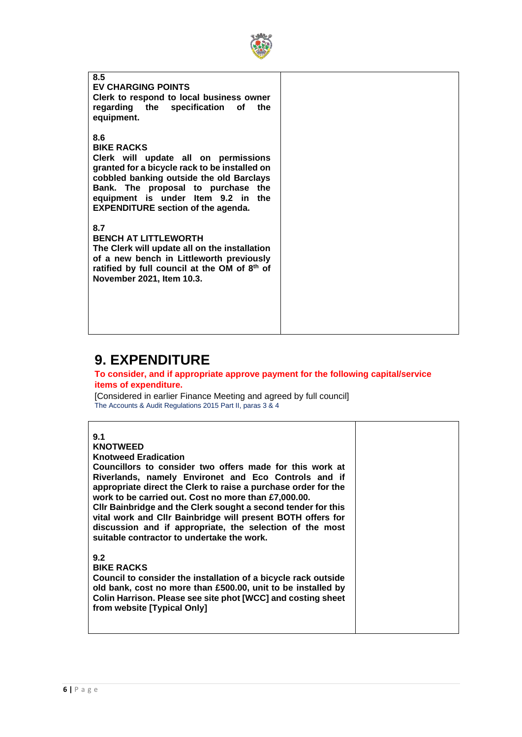

| 8.5<br><b>EV CHARGING POINTS</b><br>Clerk to respond to local business owner<br>regarding the specification of<br>the<br>equipment.                                                                                                                                                    |  |
|----------------------------------------------------------------------------------------------------------------------------------------------------------------------------------------------------------------------------------------------------------------------------------------|--|
| 8.6<br><b>BIKE RACKS</b><br>Clerk will update all on permissions<br>granted for a bicycle rack to be installed on<br>cobbled banking outside the old Barclays<br>Bank. The proposal to purchase the<br>equipment is under Item 9.2 in the<br><b>EXPENDITURE section of the agenda.</b> |  |
| 8.7<br><b>BENCH AT LITTLEWORTH</b><br>The Clerk will update all on the installation<br>of a new bench in Littleworth previously<br>ratified by full council at the OM of 8th of<br>November 2021, Item 10.3.                                                                           |  |

## **9. EXPENDITURE**

**To consider, and if appropriate approve payment for the following capital/service items of expenditure.**

[Considered in earlier Finance Meeting and agreed by full council] The Accounts & Audit Regulations 2015 Part II, paras 3 & 4

#### **9.1**

#### **KNOTWEED**

**Knotweed Eradication**

**Councillors to consider two offers made for this work at Riverlands, namely Environet and Eco Controls and if appropriate direct the Clerk to raise a purchase order for the work to be carried out. Cost no more than £7,000.00.**

**Cllr Bainbridge and the Clerk sought a second tender for this vital work and Cllr Bainbridge will present BOTH offers for discussion and if appropriate, the selection of the most suitable contractor to undertake the work.**

**9.2**

#### **BIKE RACKS**

**Council to consider the installation of a bicycle rack outside old bank, cost no more than £500.00, unit to be installed by Colin Harrison. Please see site phot [WCC] and costing sheet from website [Typical Only]**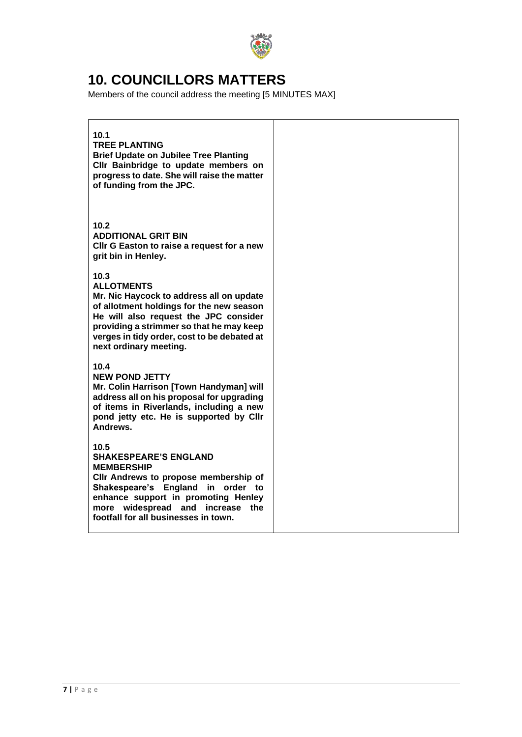

# **10. COUNCILLORS MATTERS**

Members of the council address the meeting [5 MINUTES MAX]

| 10.1<br><b>TREE PLANTING</b><br><b>Brief Update on Jubilee Tree Planting</b><br>CIIr Bainbridge to update members on<br>progress to date. She will raise the matter<br>of funding from the JPC.                                                                                 |  |
|---------------------------------------------------------------------------------------------------------------------------------------------------------------------------------------------------------------------------------------------------------------------------------|--|
| 10.2<br><b>ADDITIONAL GRIT BIN</b><br>CIIr G Easton to raise a request for a new<br>grit bin in Henley.                                                                                                                                                                         |  |
| 10.3<br><b>ALLOTMENTS</b><br>Mr. Nic Haycock to address all on update<br>of allotment holdings for the new season<br>He will also request the JPC consider<br>providing a strimmer so that he may keep<br>verges in tidy order, cost to be debated at<br>next ordinary meeting. |  |
| 10.4<br><b>NEW POND JETTY</b><br>Mr. Colin Harrison [Town Handyman] will<br>address all on his proposal for upgrading<br>of items in Riverlands, including a new<br>pond jetty etc. He is supported by Cllr<br>Andrews.                                                         |  |
| 10.5<br><b>SHAKESPEARE'S ENGLAND</b><br><b>MEMBERSHIP</b><br>CIIr Andrews to propose membership of<br>Shakespeare's England in order to<br>enhance support in promoting Henley<br>more widespread and increase<br>the<br>footfall for all businesses in town.                   |  |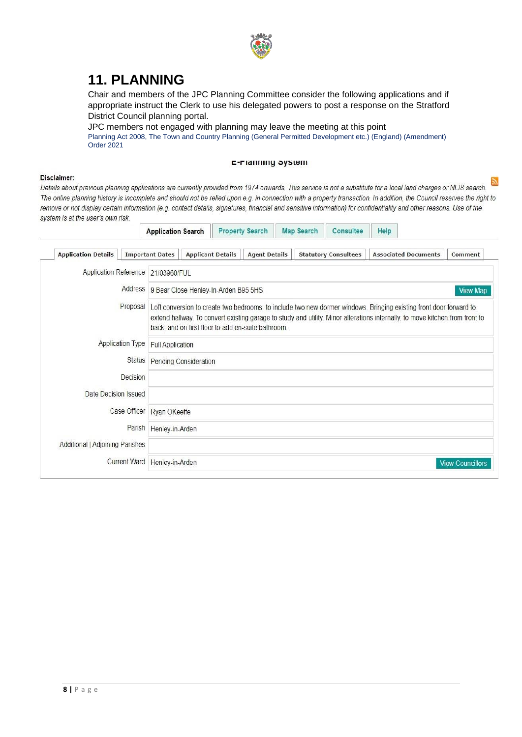

## **11. PLANNING**

Chair and members of the JPC Planning Committee consider the following applications and if appropriate instruct the Clerk to use his delegated powers to post a response on the Stratford District Council planning portal.

JPC members not engaged with planning may leave the meeting at this point Planning Act 2008, The Town and Country Planning (General Permitted Development etc.) (England) (Amendment) Order 2021

#### E-Flamming System

#### Disclaimer:

Details about previous planning applications are currently provided from 1974 onwards. This service is not a substitute for a local land charges or NLIS search. The online planning history is incomplete and should not be relied upon e.g. in connection with a property transaction. In addition, the Council reserves the right to remove or not display certain information (e.g. contact details, signatures, financial and sensitive information) for confidentiality and other reasons. Use of the system is at the user's own risk.  $\Box$  $\frac{1}{2}$  $\top$ 

| <b>Application Details</b>      | <b>Important Dates</b>             | <b>Applicant Details</b>                                                                                                                                                                                                                                                                                 | <b>Agent Details</b> | <b>Statutory Consultees</b> | <b>Associated Documents</b> | Comment                 |
|---------------------------------|------------------------------------|----------------------------------------------------------------------------------------------------------------------------------------------------------------------------------------------------------------------------------------------------------------------------------------------------------|----------------------|-----------------------------|-----------------------------|-------------------------|
|                                 | Application Reference 21/03960/FUL |                                                                                                                                                                                                                                                                                                          |                      |                             |                             |                         |
|                                 | Address                            | 9 Bear Close Henley-In-Arden B95 5HS<br><b>View Map</b>                                                                                                                                                                                                                                                  |                      |                             |                             |                         |
|                                 | Proposal                           | Loft conversion to create two bedrooms, to include two new dormer windows. Bringing existing front door forward to<br>extend hallway. To convert existing garage to study and utility. Minor alterations internally, to move kitchen from front to<br>back, and on first floor to add en-suite bathroom. |                      |                             |                             |                         |
| Application Type                |                                    | <b>Full Application</b>                                                                                                                                                                                                                                                                                  |                      |                             |                             |                         |
|                                 | <b>Status</b>                      | Pending Consideration                                                                                                                                                                                                                                                                                    |                      |                             |                             |                         |
|                                 | Decision                           |                                                                                                                                                                                                                                                                                                          |                      |                             |                             |                         |
| <b>Date Decision Issued</b>     |                                    |                                                                                                                                                                                                                                                                                                          |                      |                             |                             |                         |
|                                 | Case Officer<br>Ryan OKeeffe       |                                                                                                                                                                                                                                                                                                          |                      |                             |                             |                         |
|                                 | Parish                             | Henley-in-Arden                                                                                                                                                                                                                                                                                          |                      |                             |                             |                         |
| Additional   Adjoining Parishes |                                    |                                                                                                                                                                                                                                                                                                          |                      |                             |                             |                         |
| <b>Current Ward</b>             | Henley-in-Arden                    |                                                                                                                                                                                                                                                                                                          |                      |                             |                             | <b>View Councillors</b> |